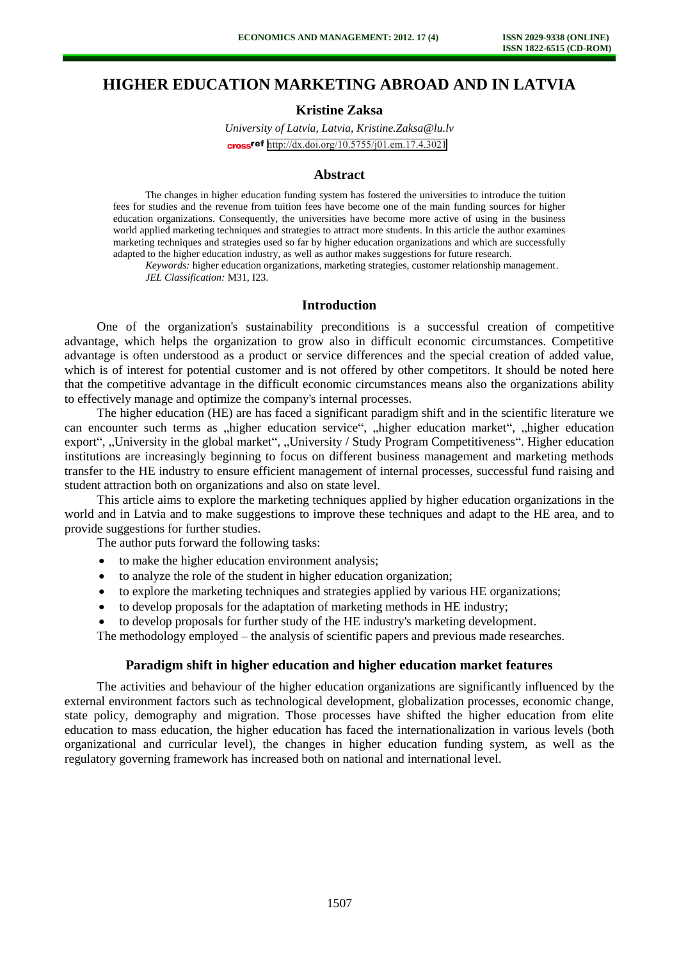# **HIGHER EDUCATION MARKETING ABROAD AND IN LATVIA**

## **Kristine Zaksa**

*University of Latvia, Latvia, [Kristine.Zaksa@lu.lv](mailto:Kristine.Zaksa@lu.lv)* cross<sup>ref</sup> <http://dx.doi.org/10.5755/j01.em.17.4.3021>

#### **Abstract**

The changes in higher education funding system has fostered the universities to introduce the tuition fees for studies and the revenue from tuition fees have become one of the main funding sources for higher education organizations. Consequently, the universities have become more active of using in the business world applied marketing techniques and strategies to attract more students. In this article the author examines marketing techniques and strategies used so far by higher education organizations and which are successfully adapted to the higher education industry, as well as author makes suggestions for future research.

*Keywords:* higher education organizations, marketing strategies, customer relationship management. *JEL Classification:* M31, I23.

### **Introduction**

One of the organization's sustainability preconditions is a successful creation of competitive advantage, which helps the organization to grow also in difficult economic circumstances. Competitive advantage is often understood as a product or service differences and the special creation of added value, which is of interest for potential customer and is not offered by other competitors. It should be noted here that the competitive advantage in the difficult economic circumstances means also the organizations ability to effectively manage and optimize the company's internal processes.

The higher education (HE) are has faced a significant paradigm shift and in the scientific literature we can encounter such terms as "higher education service", "higher education market", "higher education export", "University in the global market", "University / Study Program Competitiveness". Higher education institutions are increasingly beginning to focus on different business management and marketing methods transfer to the HE industry to ensure efficient management of internal processes, successful fund raising and student attraction both on organizations and also on state level.

This article aims to explore the marketing techniques applied by higher education organizations in the world and in Latvia and to make suggestions to improve these techniques and adapt to the HE area, and to provide suggestions for further studies.

The author puts forward the following tasks:

- to make the higher education environment analysis;
- to analyze the role of the student in higher education organization;
- to explore the marketing techniques and strategies applied by various HE organizations;
- to develop proposals for the adaptation of marketing methods in HE industry;

to develop proposals for further study of the HE industry's marketing development.

The methodology employed – the analysis of scientific papers and previous made researches.

#### **Paradigm shift in higher education and higher education market features**

The activities and behaviour of the higher education organizations are significantly influenced by the external environment factors such as technological development, globalization processes, economic change, state policy, demography and migration. Those processes have shifted the higher education from elite education to mass education, the higher education has faced the internationalization in various levels (both organizational and curricular level), the changes in higher education funding system, as well as the regulatory governing framework has increased both on national and international level.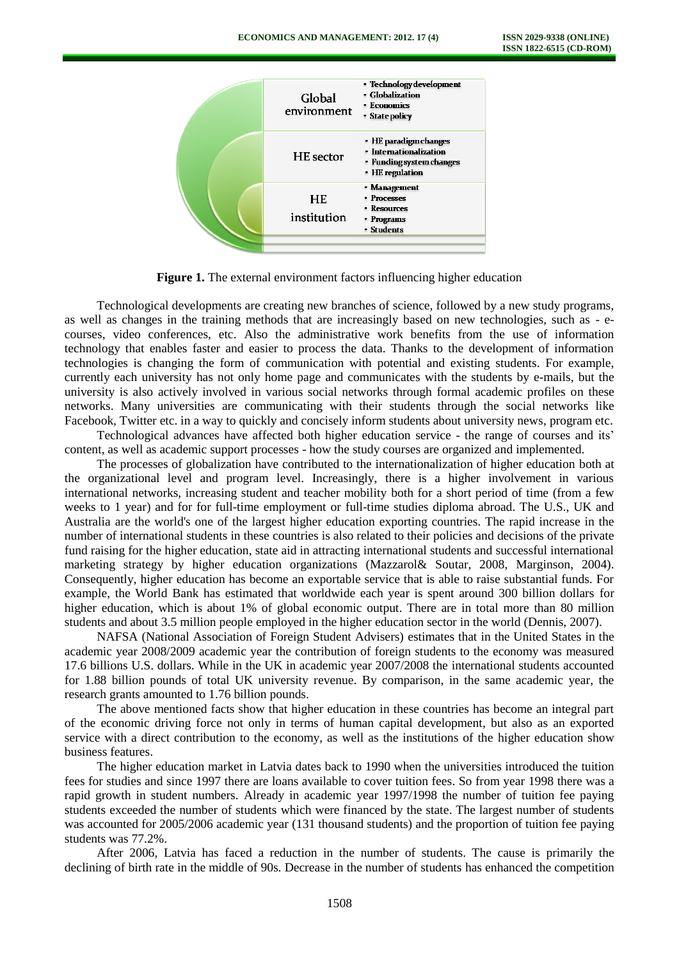

**Figure 1.** The external environment factors influencing higher education

Technological developments are creating new branches of science, followed by a new study programs, as well as changes in the training methods that are increasingly based on new technologies, such as - ecourses, video conferences, etc. Also the administrative work benefits from the use of information technology that enables faster and easier to process the data. Thanks to the development of information technologies is changing the form of communication with potential and existing students. For example, currently each university has not only home page and communicates with the students by e-mails, but the university is also actively involved in various social networks through formal academic profiles on these networks. Many universities are communicating with their students through the social networks like Facebook, Twitter etc. in a way to quickly and concisely inform students about university news, program etc.

Technological advances have affected both higher education service - the range of courses and its' content, as well as academic support processes - how the study courses are organized and implemented.

The processes of globalization have contributed to the internationalization of higher education both at the organizational level and program level. Increasingly, there is a higher involvement in various international networks, increasing student and teacher mobility both for a short period of time (from a few weeks to 1 year) and for for full-time employment or full-time studies diploma abroad. The U.S., UK and Australia are the world's one of the largest higher education exporting countries. The rapid increase in the number of international students in these countries is also related to their policies and decisions of the private fund raising for the higher education, state aid in attracting international students and successful international marketing strategy by higher education organizations (Mazzarol& Soutar, 2008, Marginson, 2004). Consequently, higher education has become an exportable service that is able to raise substantial funds. For example, the World Bank has estimated that worldwide each year is spent around 300 billion dollars for higher education, which is about 1% of global economic output. There are in total more than 80 million students and about 3.5 million people employed in the higher education sector in the world (Dennis, 2007).

NAFSA (National Association of Foreign Student Advisers) estimates that in the United States in the academic year 2008/2009 academic year the contribution of foreign students to the economy was measured 17.6 billions U.S. dollars. While in the UK in academic year 2007/2008 the international students accounted for 1.88 billion pounds of total UK university revenue. By comparison, in the same academic year, the research grants amounted to 1.76 billion pounds.

The above mentioned facts show that higher education in these countries has become an integral part of the economic driving force not only in terms of human capital development, but also as an exported service with a direct contribution to the economy, as well as the institutions of the higher education show business features.

The higher education market in Latvia dates back to 1990 when the universities introduced the tuition fees for studies and since 1997 there are loans available to cover tuition fees. So from year 1998 there was a rapid growth in student numbers. Already in academic year 1997/1998 the number of tuition fee paying students exceeded the number of students which were financed by the state. The largest number of students was accounted for 2005/2006 academic year (131 thousand students) and the proportion of tuition fee paying students was 77.2%.

After 2006, Latvia has faced a reduction in the number of students. The cause is primarily the declining of birth rate in the middle of 90s. Decrease in the number of students has enhanced the competition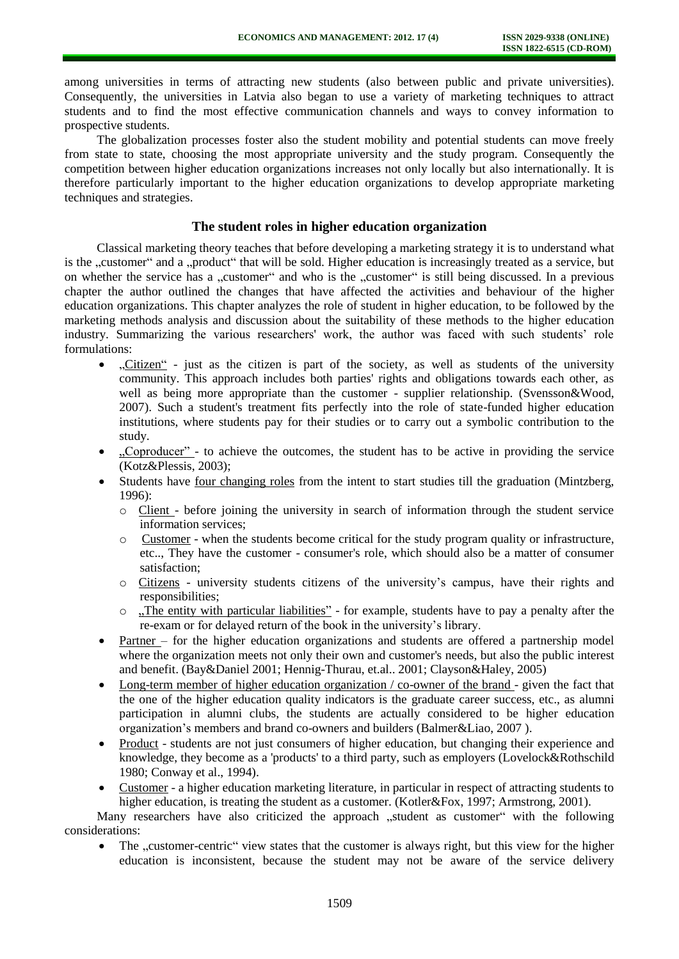among universities in terms of attracting new students (also between public and private universities). Consequently, the universities in Latvia also began to use a variety of marketing techniques to attract students and to find the most effective communication channels and ways to convey information to prospective students.

The globalization processes foster also the student mobility and potential students can move freely from state to state, choosing the most appropriate university and the study program. Consequently the competition between higher education organizations increases not only locally but also internationally. It is therefore particularly important to the higher education organizations to develop appropriate marketing techniques and strategies.

### **The student roles in higher education organization**

Classical marketing theory teaches that before developing a marketing strategy it is to understand what is the "customer" and a "product" that will be sold. Higher education is increasingly treated as a service, but on whether the service has a "customer" and who is the "customer" is still being discussed. In a previous chapter the author outlined the changes that have affected the activities and behaviour of the higher education organizations. This chapter analyzes the role of student in higher education, to be followed by the marketing methods analysis and discussion about the suitability of these methods to the higher education industry. Summarizing the various researchers' work, the author was faced with such students' role formulations:

- "Citizen" just as the citizen is part of the society, as well as students of the university community. This approach includes both parties' rights and obligations towards each other, as well as being more appropriate than the customer - supplier relationship. (Svensson&Wood, 2007). Such a student's treatment fits perfectly into the role of state-funded higher education institutions, where students pay for their studies or to carry out a symbolic contribution to the study.
- . Coproducer" to achieve the outcomes, the student has to be active in providing the service (Kotz&Plessis, 2003);
- Students have four changing roles from the intent to start studies till the graduation (Mintzberg, 1996):
	- o Client before joining the university in search of information through the student service information services;
	- o Customer when the students become critical for the study program quality or infrastructure, etc.., They have the customer - consumer's role, which should also be a matter of consumer satisfaction;
	- o Citizens university students citizens of the university's campus, have their rights and responsibilities;
	- o ...The entity with particular liabilities" for example, students have to pay a penalty after the re-exam or for delayed return of the book in the university's library.
- Partner for the higher education organizations and students are offered a partnership model where the organization meets not only their own and customer's needs, but also the public interest and benefit. (Bay&Daniel 2001; Hennig-Thurau, et.al.. 2001; Clayson&Haley, 2005)
- Long-term member of higher education organization / co-owner of the brand given the fact that the one of the higher education quality indicators is the graduate career success, etc., as alumni participation in alumni clubs, the students are actually considered to be higher education organization's members and brand co-owners and builders (Balmer&Liao, 2007 ).
- Product students are not just consumers of higher education, but changing their experience and knowledge, they become as a 'products' to a third party, such as employers (Lovelock&Rothschild 1980; Conway et al., 1994).
- Customer a higher education marketing literature, in particular in respect of attracting students to higher education, is treating the student as a customer. (Kotler&Fox, 1997; Armstrong, 2001).

Many researchers have also criticized the approach "student as customer" with the following considerations:

 $\bullet$  The  $\cdot$  customer-centric view states that the customer is always right, but this view for the higher education is inconsistent, because the student may not be aware of the service delivery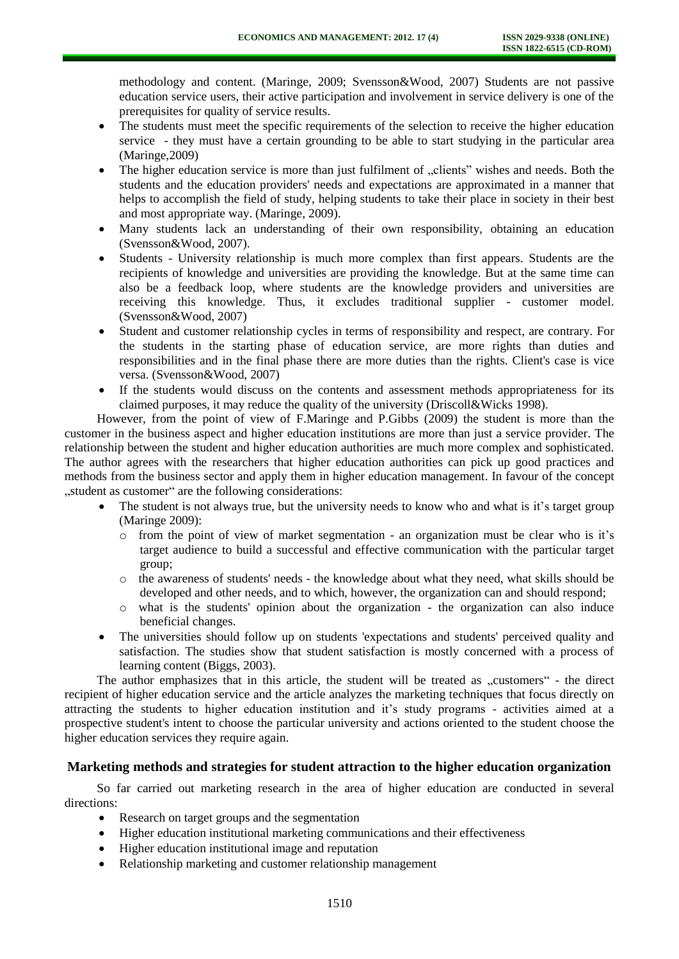methodology and content. (Maringe, 2009; Svensson&Wood, 2007) Students are not passive education service users, their active participation and involvement in service delivery is one of the prerequisites for quality of service results.

- The students must meet the specific requirements of the selection to receive the higher education service - they must have a certain grounding to be able to start studying in the particular area (Maringe,2009)
- The higher education service is more than just fulfilment of . clients" wishes and needs. Both the students and the education providers' needs and expectations are approximated in a manner that helps to accomplish the field of study, helping students to take their place in society in their best and most appropriate way. (Maringe, 2009).
- Many students lack an understanding of their own responsibility, obtaining an education (Svensson&Wood, 2007).
- Students University relationship is much more complex than first appears. Students are the recipients of knowledge and universities are providing the knowledge. But at the same time can also be a feedback loop, where students are the knowledge providers and universities are receiving this knowledge. Thus, it excludes traditional supplier - customer model. (Svensson&Wood, 2007)
- Student and customer relationship cycles in terms of responsibility and respect, are contrary. For the students in the starting phase of education service, are more rights than duties and responsibilities and in the final phase there are more duties than the rights. Client's case is vice versa. (Svensson&Wood, 2007)
- If the students would discuss on the contents and assessment methods appropriateness for its claimed purposes, it may reduce the quality of the university (Driscoll&Wicks 1998).

However, from the point of view of F.Maringe and P.Gibbs (2009) the student is more than the customer in the business aspect and higher education institutions are more than just a service provider. The relationship between the student and higher education authorities are much more complex and sophisticated. The author agrees with the researchers that higher education authorities can pick up good practices and methods from the business sector and apply them in higher education management. In favour of the concept "student as customer" are the following considerations:

- The student is not always true, but the university needs to know who and what is it's target group (Maringe 2009):
	- $\circ$  from the point of view of market segmentation an organization must be clear who is it's target audience to build a successful and effective communication with the particular target group;
	- o the awareness of students' needs the knowledge about what they need, what skills should be developed and other needs, and to which, however, the organization can and should respond;
	- o what is the students' opinion about the organization the organization can also induce beneficial changes.
- The universities should follow up on students 'expectations and students' perceived quality and satisfaction. The studies show that student satisfaction is mostly concerned with a process of learning content (Biggs, 2003).

The author emphasizes that in this article, the student will be treated as "customers" - the direct recipient of higher education service and the article analyzes the marketing techniques that focus directly on attracting the students to higher education institution and it's study programs - activities aimed at a prospective student's intent to choose the particular university and actions oriented to the student choose the higher education services they require again.

### **Marketing methods and strategies for student attraction to the higher education organization**

So far carried out marketing research in the area of higher education are conducted in several directions:

- Research on target groups and the segmentation
- Higher education institutional marketing communications and their effectiveness
- Higher education institutional image and reputation
- Relationship marketing and customer relationship management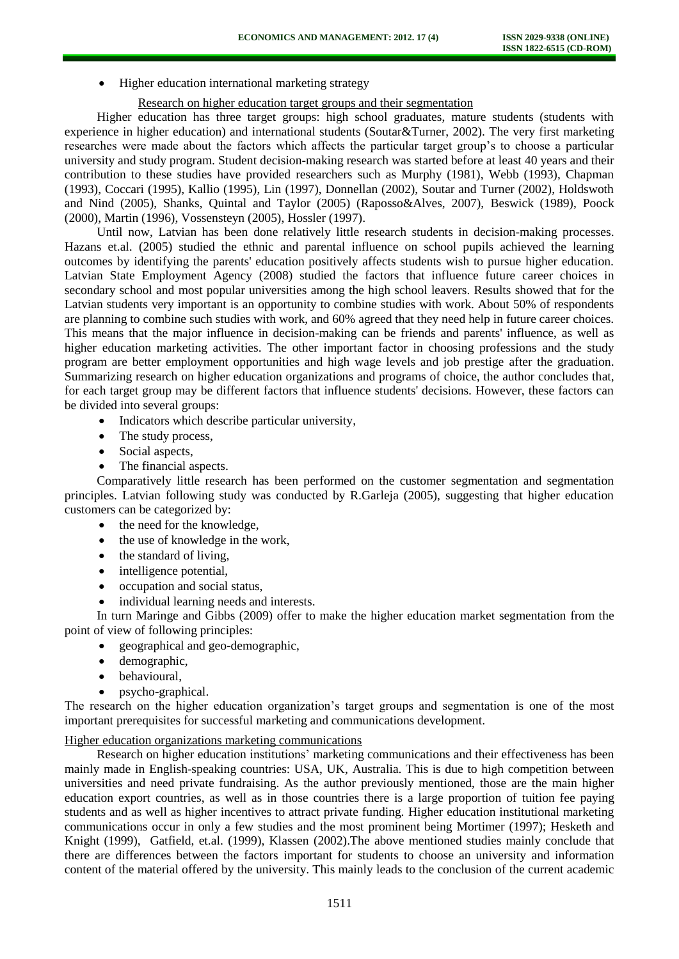• Higher education international marketing strategy

### Research on higher education target groups and their segmentation

Higher education has three target groups: high school graduates, mature students (students with experience in higher education) and international students (Soutar&Turner, 2002). The very first marketing researches were made about the factors which affects the particular target group's to choose a particular university and study program. Student decision-making research was started before at least 40 years and their contribution to these studies have provided researchers such as Murphy (1981), Webb (1993), Chapman (1993), Coccari (1995), Kallio (1995), Lin (1997), Donnellan (2002), Soutar and Turner (2002), Holdswoth and Nind (2005), Shanks, Quintal and Taylor (2005) (Raposso&Alves, 2007), Beswick (1989), Poock (2000), Martin (1996), Vossensteyn (2005), Hossler (1997).

Until now, Latvian has been done relatively little research students in decision-making processes. Hazans et.al. (2005) studied the ethnic and parental influence on school pupils achieved the learning outcomes by identifying the parents' education positively affects students wish to pursue higher education. Latvian State Employment Agency (2008) studied the factors that influence future career choices in secondary school and most popular universities among the high school leavers. Results showed that for the Latvian students very important is an opportunity to combine studies with work. About 50% of respondents are planning to combine such studies with work, and 60% agreed that they need help in future career choices. This means that the major influence in decision-making can be friends and parents' influence, as well as higher education marketing activities. The other important factor in choosing professions and the study program are better employment opportunities and high wage levels and job prestige after the graduation. Summarizing research on higher education organizations and programs of choice, the author concludes that, for each target group may be different factors that influence students' decisions. However, these factors can be divided into several groups:

- Indicators which describe particular university,
- The study process,
- Social aspects,
- The financial aspects.

Comparatively little research has been performed on the customer segmentation and segmentation principles. Latvian following study was conducted by R.Garleja (2005), suggesting that higher education customers can be categorized by:

- the need for the knowledge,
- the use of knowledge in the work,
- the standard of living.
- intelligence potential,
- occupation and social status,
- individual learning needs and interests.

In turn Maringe and Gibbs (2009) offer to make the higher education market segmentation from the point of view of following principles:

- geographical and geo-demographic,
- demographic,
- behavioural,
- psycho-graphical.

The research on the higher education organization's target groups and segmentation is one of the most important prerequisites for successful marketing and communications development.

#### Higher education organizations marketing communications

Research on higher education institutions' marketing communications and their effectiveness has been mainly made in English-speaking countries: USA, UK, Australia. This is due to high competition between universities and need private fundraising. As the author previously mentioned, those are the main higher education export countries, as well as in those countries there is a large proportion of tuition fee paying students and as well as higher incentives to attract private funding. Higher education institutional marketing communications occur in only a few studies and the most prominent being Mortimer (1997); Hesketh and Knight (1999), Gatfield, et.al. (1999), Klassen (2002).The above mentioned studies mainly conclude that there are differences between the factors important for students to choose an university and information content of the material offered by the university. This mainly leads to the conclusion of the current academic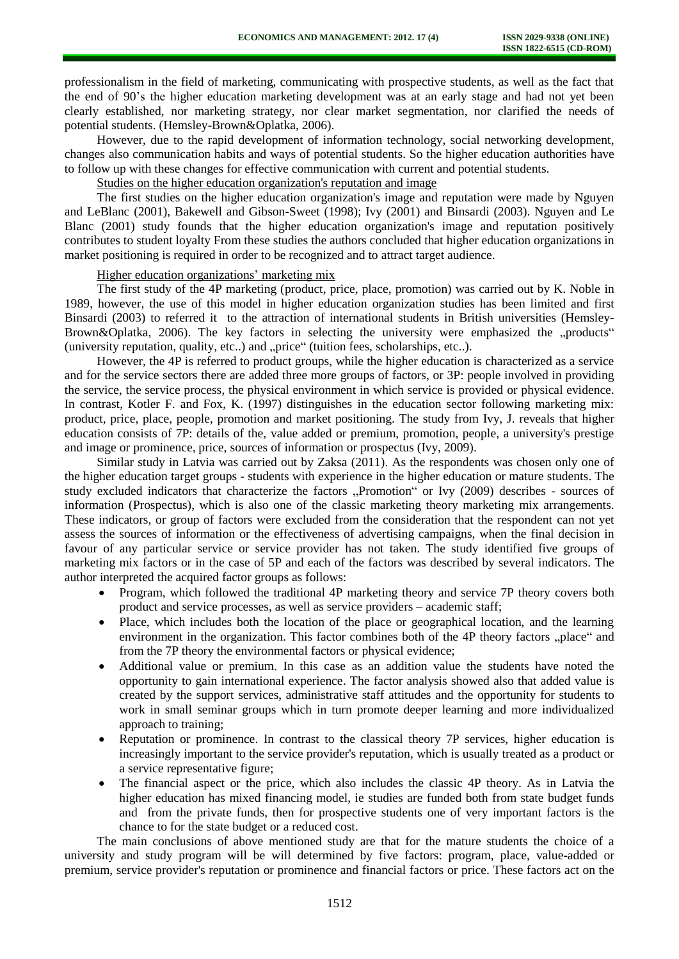professionalism in the field of marketing, communicating with prospective students, as well as the fact that the end of 90's the higher education marketing development was at an early stage and had not yet been clearly established, nor marketing strategy, nor clear market segmentation, nor clarified the needs of potential students. (Hemsley-Brown&Oplatka, 2006).

However, due to the rapid development of information technology, social networking development, changes also communication habits and ways of potential students. So the higher education authorities have to follow up with these changes for effective communication with current and potential students.

Studies on the higher education organization's reputation and image

The first studies on the higher education organization's image and reputation were made by Nguyen and LeBlanc (2001), Bakewell and Gibson-Sweet (1998); Ivy (2001) and Binsardi (2003). Nguyen and Le Blanc (2001) study founds that the higher education organization's image and reputation positively contributes to student loyalty From these studies the authors concluded that higher education organizations in market positioning is required in order to be recognized and to attract target audience.

### Higher education organizations' marketing mix

The first study of the 4P marketing (product, price, place, promotion) was carried out by K. Noble in 1989, however, the use of this model in higher education organization studies has been limited and first Binsardi (2003) to referred it to the attraction of international students in British universities (Hemsley-Brown&Oplatka, 2006). The key factors in selecting the university were emphasized the "products" (university reputation, quality, etc..) and "price" (tuition fees, scholarships, etc..).

However, the 4P is referred to product groups, while the higher education is characterized as a service and for the service sectors there are added three more groups of factors, or 3P: people involved in providing the service, the service process, the physical environment in which service is provided or physical evidence. In contrast, Kotler F. and Fox, K. (1997) distinguishes in the education sector following marketing mix: product, price, place, people, promotion and market positioning. The study from Ivy, J. reveals that higher education consists of 7P: details of the, value added or premium, promotion, people, a university's prestige and image or prominence, price, sources of information or prospectus (Ivy, 2009).

Similar study in Latvia was carried out by Zaksa (2011). As the respondents was chosen only one of the higher education target groups - students with experience in the higher education or mature students. The study excluded indicators that characterize the factors "Promotion" or Ivy (2009) describes - sources of information (Prospectus), which is also one of the classic marketing theory marketing mix arrangements. These indicators, or group of factors were excluded from the consideration that the respondent can not yet assess the sources of information or the effectiveness of advertising campaigns, when the final decision in favour of any particular service or service provider has not taken. The study identified five groups of marketing mix factors or in the case of 5P and each of the factors was described by several indicators. The author interpreted the acquired factor groups as follows:

- Program, which followed the traditional 4P marketing theory and service 7P theory covers both product and service processes, as well as service providers – academic staff;
- Place, which includes both the location of the place or geographical location, and the learning environment in the organization. This factor combines both of the 4P theory factors "place" and from the 7P theory the environmental factors or physical evidence;
- Additional value or premium. In this case as an addition value the students have noted the opportunity to gain international experience. The factor analysis showed also that added value is created by the support services, administrative staff attitudes and the opportunity for students to work in small seminar groups which in turn promote deeper learning and more individualized approach to training;
- Reputation or prominence. In contrast to the classical theory 7P services, higher education is increasingly important to the service provider's reputation, which is usually treated as a product or a service representative figure;
- The financial aspect or the price, which also includes the classic 4P theory. As in Latvia the higher education has mixed financing model, ie studies are funded both from state budget funds and from the private funds, then for prospective students one of very important factors is the chance to for the state budget or a reduced cost.

The main conclusions of above mentioned study are that for the mature students the choice of a university and study program will be will determined by five factors: program, place, value-added or premium, service provider's reputation or prominence and financial factors or price. These factors act on the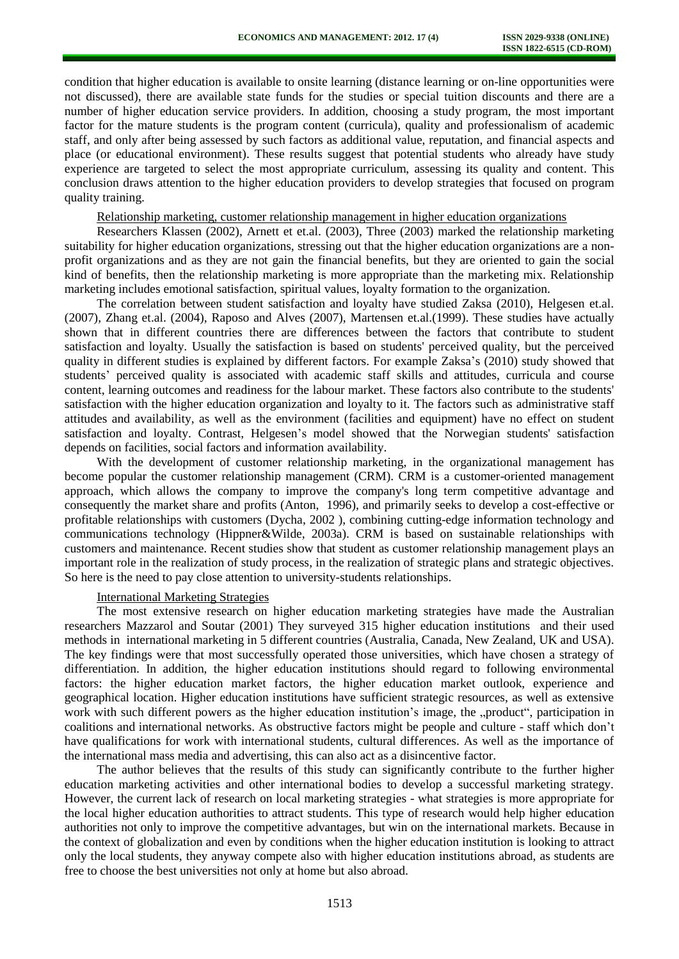condition that higher education is available to onsite learning (distance learning or on-line opportunities were not discussed), there are available state funds for the studies or special tuition discounts and there are a number of higher education service providers. In addition, choosing a study program, the most important factor for the mature students is the program content (curricula), quality and professionalism of academic staff, and only after being assessed by such factors as additional value, reputation, and financial aspects and place (or educational environment). These results suggest that potential students who already have study experience are targeted to select the most appropriate curriculum, assessing its quality and content. This conclusion draws attention to the higher education providers to develop strategies that focused on program quality training.

#### Relationship marketing, customer relationship management in higher education organizations

Researchers Klassen (2002), Arnett et et.al. (2003), Three (2003) marked the relationship marketing suitability for higher education organizations, stressing out that the higher education organizations are a nonprofit organizations and as they are not gain the financial benefits, but they are oriented to gain the social kind of benefits, then the relationship marketing is more appropriate than the marketing mix. Relationship marketing includes emotional satisfaction, spiritual values, loyalty formation to the organization.

The correlation between student satisfaction and loyalty have studied Zaksa (2010), Helgesen et.al. (2007), Zhang et.al. (2004), Raposo and Alves (2007), Martensen et.al.(1999). These studies have actually shown that in different countries there are differences between the factors that contribute to student satisfaction and loyalty. Usually the satisfaction is based on students' perceived quality, but the perceived quality in different studies is explained by different factors. For example Zaksa's (2010) study showed that students' perceived quality is associated with academic staff skills and attitudes, curricula and course content, learning outcomes and readiness for the labour market. These factors also contribute to the students' satisfaction with the higher education organization and loyalty to it. The factors such as administrative staff attitudes and availability, as well as the environment (facilities and equipment) have no effect on student satisfaction and loyalty. Contrast, Helgesen's model showed that the Norwegian students' satisfaction depends on facilities, social factors and information availability.

With the development of customer relationship marketing, in the organizational management has become popular the customer relationship management (CRM). CRM is a customer-oriented management approach, which allows the company to improve the company's long term competitive advantage and consequently the market share and profits (Anton, 1996), and primarily seeks to develop a cost-effective or profitable relationships with customers (Dycha, 2002 ), combining cutting-edge information technology and communications technology (Hippner&Wilde, 2003a). CRM is based on sustainable relationships with customers and maintenance. Recent studies show that student as customer relationship management plays an important role in the realization of study process, in the realization of strategic plans and strategic objectives. So here is the need to pay close attention to university-students relationships.

#### International Marketing Strategies

The most extensive research on higher education marketing strategies have made the Australian researchers Mazzarol and Soutar (2001) They surveyed 315 higher education institutions and their used methods in international marketing in 5 different countries (Australia, Canada, New Zealand, UK and USA). The key findings were that most successfully operated those universities, which have chosen a strategy of differentiation. In addition, the higher education institutions should regard to following environmental factors: the higher education market factors, the higher education market outlook, experience and geographical location. Higher education institutions have sufficient strategic resources, as well as extensive work with such different powers as the higher education institution's image, the "product", participation in coalitions and international networks. As obstructive factors might be people and culture - staff which don't have qualifications for work with international students, cultural differences. As well as the importance of the international mass media and advertising, this can also act as a disincentive factor.

The author believes that the results of this study can significantly contribute to the further higher education marketing activities and other international bodies to develop a successful marketing strategy. However, the current lack of research on local marketing strategies - what strategies is more appropriate for the local higher education authorities to attract students. This type of research would help higher education authorities not only to improve the competitive advantages, but win on the international markets. Because in the context of globalization and even by conditions when the higher education institution is looking to attract only the local students, they anyway compete also with higher education institutions abroad, as students are free to choose the best universities not only at home but also abroad.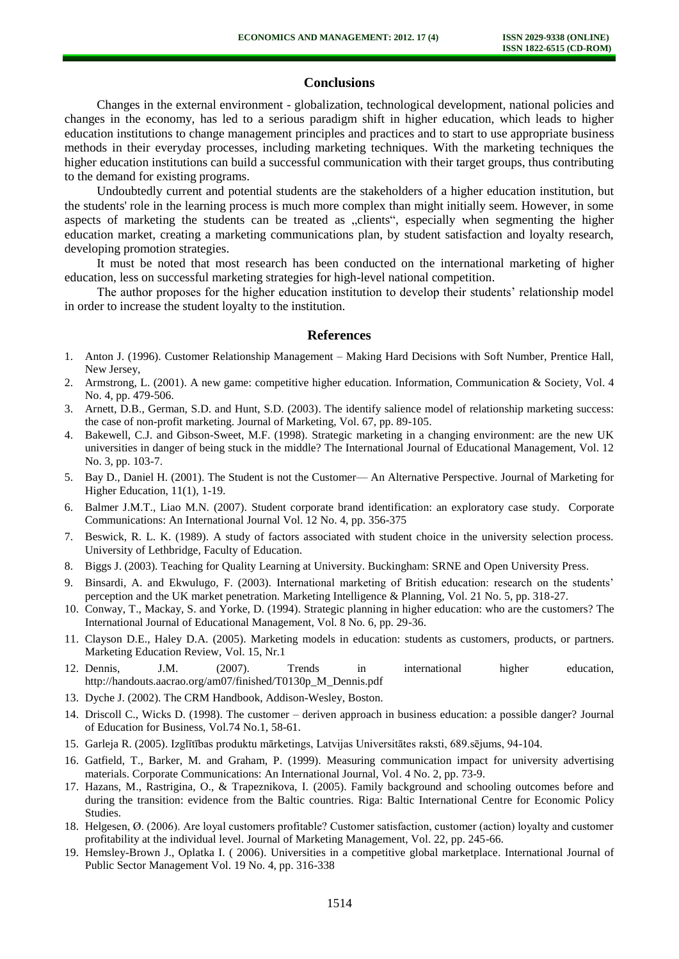### **Conclusions**

Changes in the external environment - globalization, technological development, national policies and changes in the economy, has led to a serious paradigm shift in higher education, which leads to higher education institutions to change management principles and practices and to start to use appropriate business methods in their everyday processes, including marketing techniques. With the marketing techniques the higher education institutions can build a successful communication with their target groups, thus contributing to the demand for existing programs.

Undoubtedly current and potential students are the stakeholders of a higher education institution, but the students' role in the learning process is much more complex than might initially seem. However, in some aspects of marketing the students can be treated as "clients", especially when segmenting the higher education market, creating a marketing communications plan, by student satisfaction and loyalty research, developing promotion strategies.

It must be noted that most research has been conducted on the international marketing of higher education, less on successful marketing strategies for high-level national competition.

The author proposes for the higher education institution to develop their students' relationship model in order to increase the student loyalty to the institution.

#### **References**

- 1. Anton J. (1996). Customer Relationship Management Making Hard Decisions with Soft Number, Prentice Hall, New Jersey,
- 2. Armstrong, L. (2001). A new game: competitive higher education. Information, Communication & Society, Vol. 4 No. 4, pp. 479-506.
- 3. Arnett, D.B., German, S.D. and Hunt, S.D. (2003). The identify salience model of relationship marketing success: the case of non-profit marketing. Journal of Marketing, Vol. 67, pp. 89-105.
- 4. Bakewell, C.J. and Gibson-Sweet, M.F. (1998). Strategic marketing in a changing environment: are the new UK universities in danger of being stuck in the middle? The International Journal of Educational Management, Vol. 12 No. 3, pp. 103-7.
- 5. Bay D., Daniel H. (2001). The Student is not the Customer— An Alternative Perspective. Journal of Marketing for Higher Education, 11(1), 1-19.
- 6. Balmer J.M.T., Liao M.N. (2007). Student corporate brand identification: an exploratory case study. Corporate Communications: An International Journal Vol. 12 No. 4, pp. 356-375
- 7. Beswick, R. L. K. (1989). A study of factors associated with student choice in the university selection process. University of Lethbridge, Faculty of Education.
- 8. Biggs J. (2003). Teaching for Quality Learning at University. Buckingham: SRNE and Open University Press.
- 9. Binsardi, A. and Ekwulugo, F. (2003). International marketing of British education: research on the students' perception and the UK market penetration. Marketing Intelligence & Planning, Vol. 21 No. 5, pp. 318-27.
- 10. Conway, T., Mackay, S. and Yorke, D. (1994). Strategic planning in higher education: who are the customers? The International Journal of Educational Management, Vol. 8 No. 6, pp. 29-36.
- 11. Clayson D.E., Haley D.A. (2005). Marketing models in education: students as customers, products, or partners. Marketing Education Review, Vol. 15, Nr.1
- 12. Dennis, J.M. (2007). Trends in international higher education, [http://handouts.aacrao.org/am07/finished/T0130p\\_M\\_Dennis.pdf](http://handouts.aacrao.org/am07/finished/T0130p_M_Dennis.pdf)
- 13. Dyche J. (2002). The CRM Handbook, Addison-Wesley, Boston.
- 14. Driscoll C., Wicks D. (1998). The customer deriven approach in business education: a possible danger? Journal of Education for Business, Vol.74 No.1, 58-61.
- 15. Garleja R. (2005). Izglītības produktu mārketings, Latvijas Universitātes raksti, 689.sējums, 94-104.
- 16. Gatfield, T., Barker, M. and Graham, P. (1999). Measuring communication impact for university advertising materials. Corporate Communications: An International Journal, Vol. 4 No. 2, pp. 73-9.
- 17. Hazans, M., Rastrigina, O., & Trapeznikova, I. (2005). Family background and schooling outcomes before and during the transition: evidence from the Baltic countries. Riga: Baltic International Centre for Economic Policy Studies.
- 18. Helgesen, Ø. (2006). Are loyal customers profitable? Customer satisfaction, customer (action) loyalty and customer profitability at the individual level. Journal of Marketing Management, Vol. 22, pp. 245-66.
- 19. Hemsley-Brown J., Oplatka I. ( 2006). Universities in a competitive global marketplace. International Journal of Public Sector Management Vol. 19 No. 4, pp. 316-338